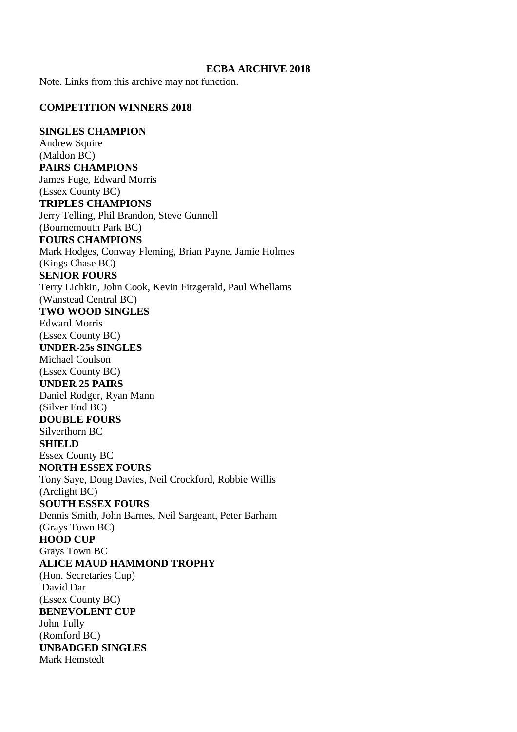#### **ECBA ARCHIVE 2018**

Note. Links from this archive may not function.

#### **COMPETITION WINNERS 2018**

#### **SINGLES CHAMPION**

Andrew Squire (Maldon BC) **PAIRS CHAMPIONS** James Fuge, Edward Morris (Essex County BC) **TRIPLES CHAMPIONS** Jerry Telling, Phil Brandon, Steve Gunnell (Bournemouth Park BC) **FOURS CHAMPIONS** Mark Hodges, Conway Fleming, Brian Payne, Jamie Holmes (Kings Chase BC) **SENIOR FOURS** Terry Lichkin, John Cook, Kevin Fitzgerald, Paul Whellams (Wanstead Central BC) **TWO WOOD SINGLES** Edward Morris (Essex County BC) **UNDER-25s SINGLES** Michael Coulson (Essex County BC) **UNDER 25 PAIRS** Daniel Rodger, Ryan Mann (Silver End BC) **DOUBLE FOURS** Silverthorn BC **SHIELD** Essex County BC **NORTH ESSEX FOURS** Tony Saye, Doug Davies, Neil Crockford, Robbie Willis (Arclight BC) **SOUTH ESSEX FOURS** Dennis Smith, John Barnes, Neil Sargeant, Peter Barham (Grays Town BC) **HOOD CUP** Grays Town BC **ALICE MAUD HAMMOND TROPHY** (Hon. Secretaries Cup) David Dar (Essex County BC) **BENEVOLENT CUP** John Tully (Romford BC) **UNBADGED SINGLES** Mark Hemstedt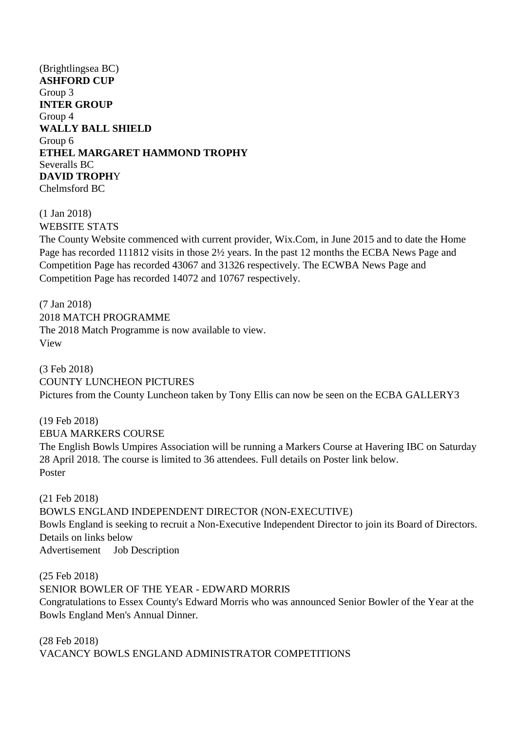(Brightlingsea BC) **ASHFORD CUP** Group 3 **INTER GROUP** Group 4 **WALLY BALL SHIELD** Group 6 **ETHEL MARGARET HAMMOND TROPHY** Severalls BC **DAVID TROPH**Y Chelmsford BC

(1 Jan 2018) WEBSITE STATS

The County Website commenced with current provider, Wix.Com, in June 2015 and to date the Home Page has recorded 111812 visits in those 2½ years. In the past 12 months the ECBA News Page and Competition Page has recorded 43067 and 31326 respectively. The ECWBA News Page and Competition Page has recorded 14072 and 10767 respectively.

(7 Jan 2018) 2018 MATCH PROGRAMME The 2018 Match Programme is now available to view. View

(3 Feb 2018) COUNTY LUNCHEON PICTURES Pictures from the County Luncheon taken by Tony Ellis can now be seen on the ECBA GALLERY3

(19 Feb 2018) EBUA MARKERS COURSE The English Bowls Umpires Association will be running a Markers Course at Havering IBC on Saturday 28 April 2018. The course is limited to 36 attendees. Full details on Poster link below. Poster

(21 Feb 2018) BOWLS ENGLAND INDEPENDENT DIRECTOR (NON-EXECUTIVE) Bowls England is seeking to recruit a Non-Executive Independent Director to join its Board of Directors. Details on links below Advertisement Job Description

(25 Feb 2018) SENIOR BOWLER OF THE YEAR - EDWARD MORRIS Congratulations to Essex County's Edward Morris who was announced Senior Bowler of the Year at the Bowls England Men's Annual Dinner.

(28 Feb 2018) VACANCY BOWLS ENGLAND ADMINISTRATOR COMPETITIONS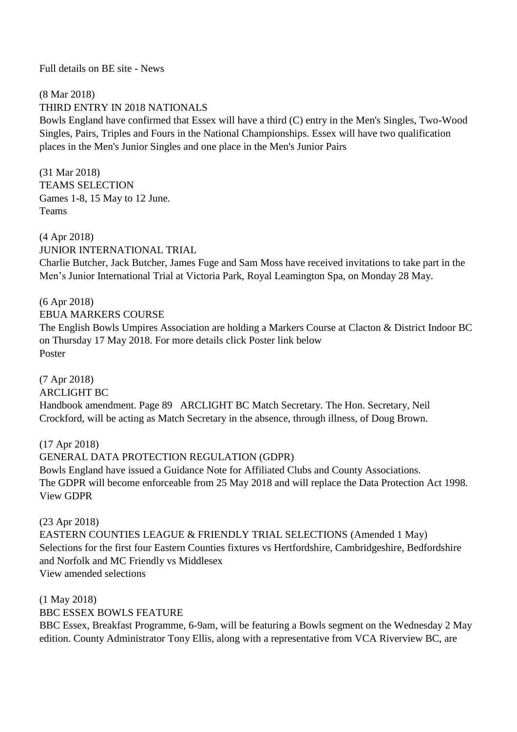#### Full details on BE site - News

#### (8 Mar 2018) THIRD ENTRY IN 2018 NATIONALS

Bowls England have confirmed that Essex will have a third (C) entry in the Men's Singles, Two-Wood Singles, Pairs, Triples and Fours in the National Championships. Essex will have two qualification places in the Men's Junior Singles and one place in the Men's Junior Pairs

(31 Mar 2018) TEAMS SELECTION Games 1-8, 15 May to 12 June. Teams

(4 Apr 2018) JUNIOR INTERNATIONAL TRIAL

Charlie Butcher, Jack Butcher, James Fuge and Sam Moss have received invitations to take part in the Men's Junior International Trial at Victoria Park, Royal Leamington Spa, on Monday 28 May.

#### (6 Apr 2018) EBUA MARKERS COURSE

The English Bowls Umpires Association are holding a Markers Course at Clacton & District Indoor BC on Thursday 17 May 2018. For more details click Poster link below Poster

(7 Apr 2018) ARCLIGHT BC Handbook amendment. Page 89 ARCLIGHT BC Match Secretary. The Hon. Secretary, Neil Crockford, will be acting as Match Secretary in the absence, through illness, of Doug Brown.

(17 Apr 2018) GENERAL DATA PROTECTION REGULATION (GDPR) Bowls England have issued a Guidance Note for Affiliated Clubs and County Associations. The GDPR will become enforceable from 25 May 2018 and will replace the Data Protection Act 1998. View GDPR

(23 Apr 2018)

EASTERN COUNTIES LEAGUE & FRIENDLY TRIAL SELECTIONS (Amended 1 May) Selections for the first four Eastern Counties fixtures vs Hertfordshire, Cambridgeshire, Bedfordshire and Norfolk and MC Friendly vs Middlesex View amended selections

(1 May 2018) BBC ESSEX BOWLS FEATURE

BBC Essex, Breakfast Programme, 6-9am, will be featuring a Bowls segment on the Wednesday 2 May edition. County Administrator Tony Ellis, along with a representative from VCA Riverview BC, are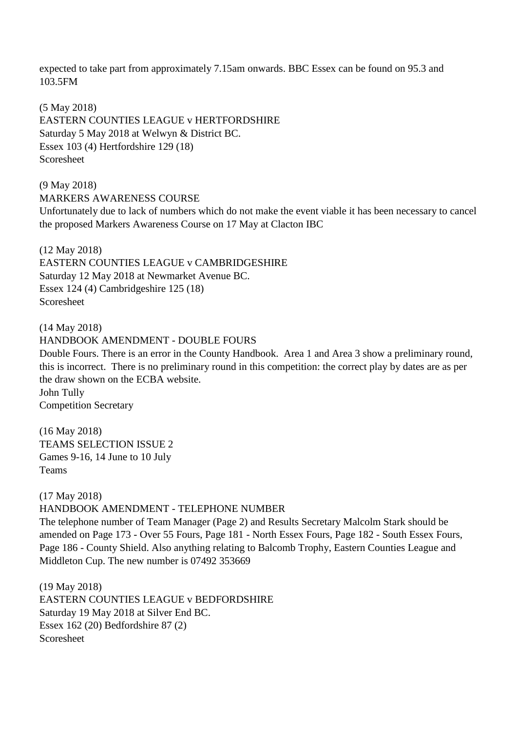expected to take part from approximately 7.15am onwards. BBC Essex can be found on 95.3 and 103.5FM

(5 May 2018) EASTERN COUNTIES LEAGUE v HERTFORDSHIRE Saturday 5 May 2018 at Welwyn & District BC. Essex 103 (4) Hertfordshire 129 (18) Scoresheet

(9 May 2018) MARKERS AWARENESS COURSE Unfortunately due to lack of numbers which do not make the event viable it has been necessary to cancel the proposed Markers Awareness Course on 17 May at Clacton IBC

(12 May 2018) EASTERN COUNTIES LEAGUE v CAMBRIDGESHIRE Saturday 12 May 2018 at Newmarket Avenue BC. Essex 124 (4) Cambridgeshire 125 (18) Scoresheet

(14 May 2018)

HANDBOOK AMENDMENT - DOUBLE FOURS

Double Fours. There is an error in the County Handbook. Area 1 and Area 3 show a preliminary round, this is incorrect. There is no preliminary round in this competition: the correct play by dates are as per the draw shown on the ECBA website. John Tully Competition Secretary

(16 May 2018) TEAMS SELECTION ISSUE 2 Games 9-16, 14 June to 10 July Teams

(17 May 2018)

HANDBOOK AMENDMENT - TELEPHONE NUMBER

The telephone number of Team Manager (Page 2) and Results Secretary Malcolm Stark should be amended on Page 173 - Over 55 Fours, Page 181 - North Essex Fours, Page 182 - South Essex Fours, Page 186 - County Shield. Also anything relating to Balcomb Trophy, Eastern Counties League and Middleton Cup. The new number is 07492 353669

(19 May 2018) EASTERN COUNTIES LEAGUE v BEDFORDSHIRE Saturday 19 May 2018 at Silver End BC. Essex 162 (20) Bedfordshire 87 (2) Scoresheet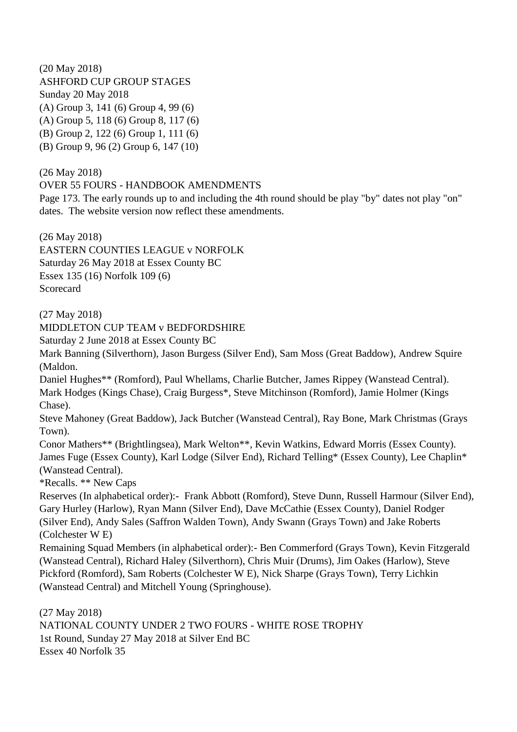(20 May 2018) ASHFORD CUP GROUP STAGES Sunday 20 May 2018 (A) Group 3, 141 (6) Group 4, 99 (6) (A) Group 5, 118 (6) Group 8, 117 (6) (B) Group 2, 122 (6) Group 1, 111 (6) (B) Group 9, 96 (2) Group 6, 147 (10)

(26 May 2018)

OVER 55 FOURS - HANDBOOK AMENDMENTS

Page 173. The early rounds up to and including the 4th round should be play "by" dates not play "on" dates. The website version now reflect these amendments.

(26 May 2018) EASTERN COUNTIES LEAGUE v NORFOLK Saturday 26 May 2018 at Essex County BC Essex 135 (16) Norfolk 109 (6) **Scorecard** 

(27 May 2018)

MIDDLETON CUP TEAM v BEDFORDSHIRE

Saturday 2 June 2018 at Essex County BC

Mark Banning (Silverthorn), Jason Burgess (Silver End), Sam Moss (Great Baddow), Andrew Squire (Maldon.

Daniel Hughes\*\* (Romford), Paul Whellams, Charlie Butcher, James Rippey (Wanstead Central). Mark Hodges (Kings Chase), Craig Burgess\*, Steve Mitchinson (Romford), Jamie Holmer (Kings Chase).

Steve Mahoney (Great Baddow), Jack Butcher (Wanstead Central), Ray Bone, Mark Christmas (Grays Town).

Conor Mathers\*\* (Brightlingsea), Mark Welton\*\*, Kevin Watkins, Edward Morris (Essex County). James Fuge (Essex County), Karl Lodge (Silver End), Richard Telling\* (Essex County), Lee Chaplin\* (Wanstead Central).

\*Recalls. \*\* New Caps

Reserves (In alphabetical order):- Frank Abbott (Romford), Steve Dunn, Russell Harmour (Silver End), Gary Hurley (Harlow), Ryan Mann (Silver End), Dave McCathie (Essex County), Daniel Rodger (Silver End), Andy Sales (Saffron Walden Town), Andy Swann (Grays Town) and Jake Roberts (Colchester W E)

Remaining Squad Members (in alphabetical order):- Ben Commerford (Grays Town), Kevin Fitzgerald (Wanstead Central), Richard Haley (Silverthorn), Chris Muir (Drums), Jim Oakes (Harlow), Steve Pickford (Romford), Sam Roberts (Colchester W E), Nick Sharpe (Grays Town), Terry Lichkin (Wanstead Central) and Mitchell Young (Springhouse).

(27 May 2018) NATIONAL COUNTY UNDER 2 TWO FOURS - WHITE ROSE TROPHY 1st Round, Sunday 27 May 2018 at Silver End BC Essex 40 Norfolk 35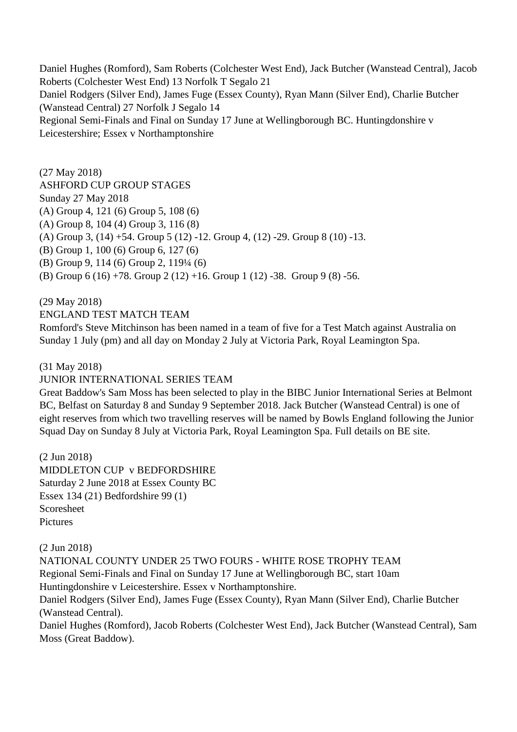Daniel Hughes (Romford), Sam Roberts (Colchester West End), Jack Butcher (Wanstead Central), Jacob Roberts (Colchester West End) 13 Norfolk T Segalo 21 Daniel Rodgers (Silver End), James Fuge (Essex County), Ryan Mann (Silver End), Charlie Butcher (Wanstead Central) 27 Norfolk J Segalo 14 Regional Semi-Finals and Final on Sunday 17 June at Wellingborough BC. Huntingdonshire v Leicestershire; Essex v Northamptonshire

(27 May 2018) ASHFORD CUP GROUP STAGES Sunday 27 May 2018 (A) Group 4, 121 (6) Group 5, 108 (6) (A) Group 8, 104 (4) Group 3, 116 (8) (A) Group 3, (14) +54. Group 5 (12) -12. Group 4, (12) -29. Group 8 (10) -13. (B) Group 1, 100 (6) Group 6, 127 (6) (B) Group 9, 114 (6) Group 2, 119¼ (6) (B) Group 6 (16) +78. Group 2 (12) +16. Group 1 (12) -38. Group 9 (8) -56.

(29 May 2018)

#### ENGLAND TEST MATCH TEAM

Romford's Steve Mitchinson has been named in a team of five for a Test Match against Australia on Sunday 1 July (pm) and all day on Monday 2 July at Victoria Park, Royal Leamington Spa.

#### (31 May 2018)

#### JUNIOR INTERNATIONAL SERIES TEAM

Great Baddow's Sam Moss has been selected to play in the BIBC Junior International Series at Belmont BC, Belfast on Saturday 8 and Sunday 9 September 2018. Jack Butcher (Wanstead Central) is one of eight reserves from which two travelling reserves will be named by Bowls England following the Junior Squad Day on Sunday 8 July at Victoria Park, Royal Leamington Spa. Full details on BE site.

(2 Jun 2018) MIDDLETON CUP v BEDFORDSHIRE Saturday 2 June 2018 at Essex County BC Essex 134 (21) Bedfordshire 99 (1) Scoresheet **Pictures** 

(2 Jun 2018)

NATIONAL COUNTY UNDER 25 TWO FOURS - WHITE ROSE TROPHY TEAM Regional Semi-Finals and Final on Sunday 17 June at Wellingborough BC, start 10am Huntingdonshire v Leicestershire. Essex v Northamptonshire.

Daniel Rodgers (Silver End), James Fuge (Essex County), Ryan Mann (Silver End), Charlie Butcher (Wanstead Central).

Daniel Hughes (Romford), Jacob Roberts (Colchester West End), Jack Butcher (Wanstead Central), Sam Moss (Great Baddow).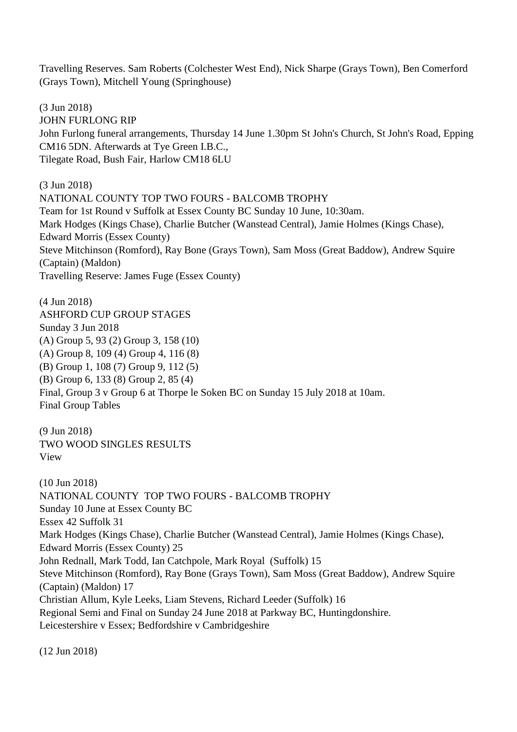Travelling Reserves. Sam Roberts (Colchester West End), Nick Sharpe (Grays Town), Ben Comerford (Grays Town), Mitchell Young (Springhouse)

(3 Jun 2018) JOHN FURLONG RIP John Furlong funeral arrangements, Thursday 14 June 1.30pm St John's Church, St John's Road, Epping CM16 5DN. Afterwards at Tye Green I.B.C., Tilegate Road, Bush Fair, Harlow CM18 6LU

(3 Jun 2018) NATIONAL COUNTY TOP TWO FOURS - BALCOMB TROPHY Team for 1st Round v Suffolk at Essex County BC Sunday 10 June, 10:30am. Mark Hodges (Kings Chase), Charlie Butcher (Wanstead Central), Jamie Holmes (Kings Chase), Edward Morris (Essex County) Steve Mitchinson (Romford), Ray Bone (Grays Town), Sam Moss (Great Baddow), Andrew Squire (Captain) (Maldon) Travelling Reserve: James Fuge (Essex County)

(4 Jun 2018) ASHFORD CUP GROUP STAGES Sunday 3 Jun 2018 (A) Group 5, 93 (2) Group 3, 158 (10) (A) Group 8, 109 (4) Group 4, 116 (8) (B) Group 1, 108 (7) Group 9, 112 (5) (B) Group 6, 133 (8) Group 2, 85 (4) Final, Group 3 v Group 6 at Thorpe le Soken BC on Sunday 15 July 2018 at 10am. Final Group Tables

(9 Jun 2018) TWO WOOD SINGLES RESULTS View

(10 Jun 2018) NATIONAL COUNTY TOP TWO FOURS - BALCOMB TROPHY Sunday 10 June at Essex County BC Essex 42 Suffolk 31 Mark Hodges (Kings Chase), Charlie Butcher (Wanstead Central), Jamie Holmes (Kings Chase), Edward Morris (Essex County) 25 John Rednall, Mark Todd, Ian Catchpole, Mark Royal (Suffolk) 15 Steve Mitchinson (Romford), Ray Bone (Grays Town), Sam Moss (Great Baddow), Andrew Squire (Captain) (Maldon) 17 Christian Allum, Kyle Leeks, Liam Stevens, Richard Leeder (Suffolk) 16 Regional Semi and Final on Sunday 24 June 2018 at Parkway BC, Huntingdonshire. Leicestershire v Essex; Bedfordshire v Cambridgeshire

(12 Jun 2018)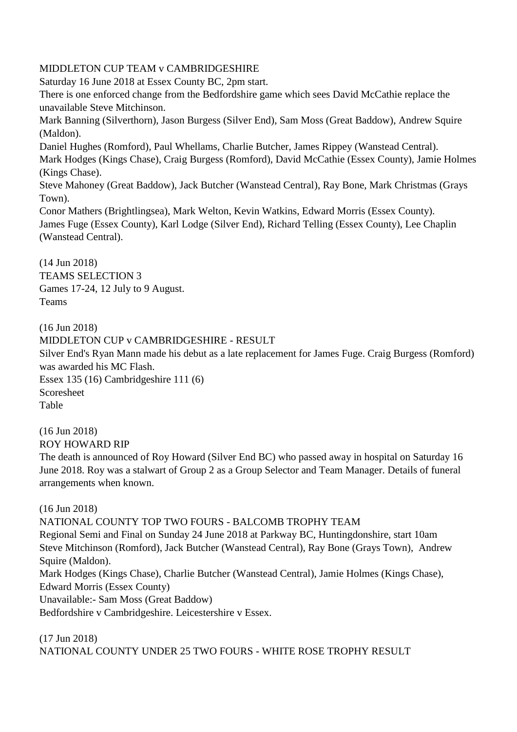#### MIDDLETON CUP TEAM v CAMBRIDGESHIRE

Saturday 16 June 2018 at Essex County BC, 2pm start. There is one enforced change from the Bedfordshire game which sees David McCathie replace the unavailable Steve Mitchinson. Mark Banning (Silverthorn), Jason Burgess (Silver End), Sam Moss (Great Baddow), Andrew Squire (Maldon). Daniel Hughes (Romford), Paul Whellams, Charlie Butcher, James Rippey (Wanstead Central). Mark Hodges (Kings Chase), Craig Burgess (Romford), David McCathie (Essex County), Jamie Holmes (Kings Chase). Steve Mahoney (Great Baddow), Jack Butcher (Wanstead Central), Ray Bone, Mark Christmas (Grays Town). Conor Mathers (Brightlingsea), Mark Welton, Kevin Watkins, Edward Morris (Essex County). James Fuge (Essex County), Karl Lodge (Silver End), Richard Telling (Essex County), Lee Chaplin (Wanstead Central).

(14 Jun 2018) TEAMS SELECTION 3 Games 17-24, 12 July to 9 August. Teams

(16 Jun 2018)

(16 Jun 2018) MIDDLETON CUP v CAMBRIDGESHIRE - RESULT Silver End's Ryan Mann made his debut as a late replacement for James Fuge. Craig Burgess (Romford) was awarded his MC Flash. Essex 135 (16) Cambridgeshire 111 (6) Scoresheet Table

ROY HOWARD RIP The death is announced of Roy Howard (Silver End BC) who passed away in hospital on Saturday 16 June 2018. Roy was a stalwart of Group 2 as a Group Selector and Team Manager. Details of funeral arrangements when known.

(16 Jun 2018) NATIONAL COUNTY TOP TWO FOURS - BALCOMB TROPHY TEAM Regional Semi and Final on Sunday 24 June 2018 at Parkway BC, Huntingdonshire, start 10am Steve Mitchinson (Romford), Jack Butcher (Wanstead Central), Ray Bone (Grays Town), Andrew Squire (Maldon). Mark Hodges (Kings Chase), Charlie Butcher (Wanstead Central), Jamie Holmes (Kings Chase), Edward Morris (Essex County) Unavailable:- Sam Moss (Great Baddow) Bedfordshire v Cambridgeshire. Leicestershire v Essex.

(17 Jun 2018) NATIONAL COUNTY UNDER 25 TWO FOURS - WHITE ROSE TROPHY RESULT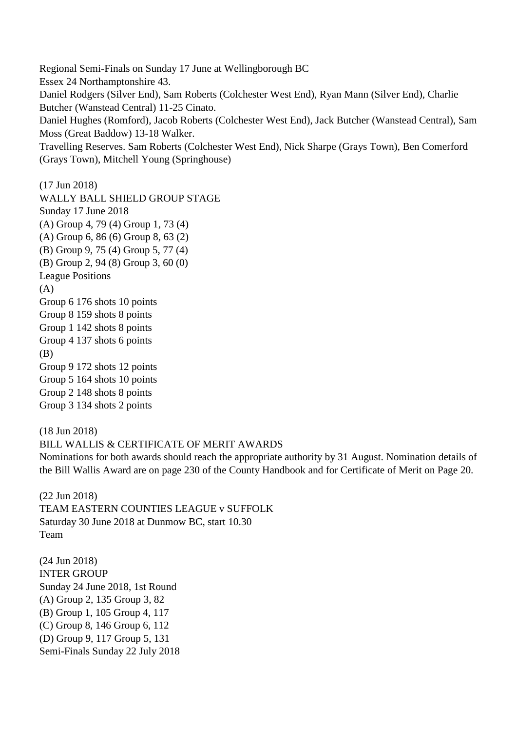Regional Semi-Finals on Sunday 17 June at Wellingborough BC Essex 24 Northamptonshire 43. Daniel Rodgers (Silver End), Sam Roberts (Colchester West End), Ryan Mann (Silver End), Charlie Butcher (Wanstead Central) 11-25 Cinato. Daniel Hughes (Romford), Jacob Roberts (Colchester West End), Jack Butcher (Wanstead Central), Sam Moss (Great Baddow) 13-18 Walker. Travelling Reserves. Sam Roberts (Colchester West End), Nick Sharpe (Grays Town), Ben Comerford (Grays Town), Mitchell Young (Springhouse)

(17 Jun 2018) WALLY BALL SHIELD GROUP STAGE Sunday 17 June 2018 (A) Group 4, 79 (4) Group 1, 73 (4) (A) Group 6, 86 (6) Group 8, 63 (2) (B) Group 9, 75 (4) Group 5, 77 (4) (B) Group 2, 94 (8) Group 3, 60 (0) League Positions  $(A)$ Group 6 176 shots 10 points Group 8 159 shots 8 points Group 1 142 shots 8 points Group 4 137 shots 6 points (B) Group 9 172 shots 12 points Group 5 164 shots 10 points Group 2 148 shots 8 points Group 3 134 shots 2 points

(18 Jun 2018) BILL WALLIS & CERTIFICATE OF MERIT AWARDS Nominations for both awards should reach the appropriate authority by 31 August. Nomination details of

the Bill Wallis Award are on page 230 of the County Handbook and for Certificate of Merit on Page 20.

(22 Jun 2018) TEAM EASTERN COUNTIES LEAGUE v SUFFOLK Saturday 30 June 2018 at Dunmow BC, start 10.30 Team

(24 Jun 2018) INTER GROUP Sunday 24 June 2018, 1st Round (A) Group 2, 135 Group 3, 82 (B) Group 1, 105 Group 4, 117 (C) Group 8, 146 Group 6, 112 (D) Group 9, 117 Group 5, 131 Semi-Finals Sunday 22 July 2018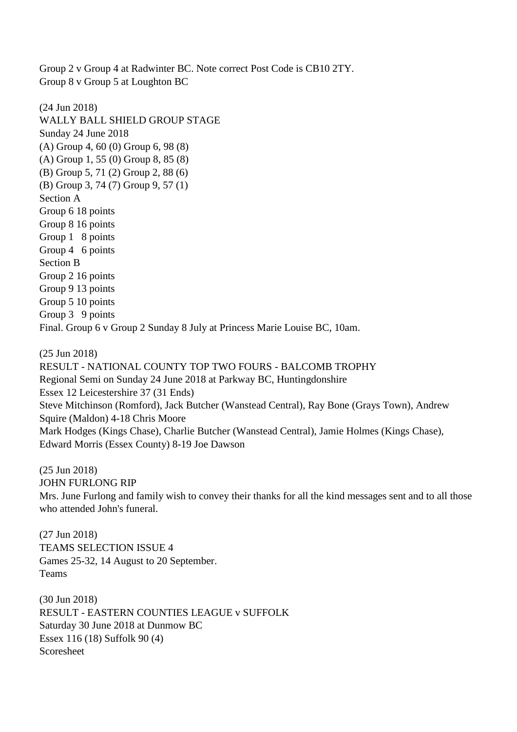Group 2 v Group 4 at Radwinter BC. Note correct Post Code is CB10 2TY. Group 8 v Group 5 at Loughton BC

(24 Jun 2018) WALLY BALL SHIELD GROUP STAGE Sunday 24 June 2018 (A) Group 4, 60 (0) Group 6, 98 (8) (A) Group 1, 55 (0) Group 8, 85 (8) (B) Group 5, 71 (2) Group 2, 88 (6) (B) Group 3, 74 (7) Group 9, 57 (1) Section A Group 6 18 points Group 8 16 points Group 1 8 points Group 4 6 points Section B Group 2 16 points Group 9 13 points Group 5 10 points Group 3 9 points Final. Group 6 v Group 2 Sunday 8 July at Princess Marie Louise BC, 10am.

(25 Jun 2018) RESULT - NATIONAL COUNTY TOP TWO FOURS - BALCOMB TROPHY Regional Semi on Sunday 24 June 2018 at Parkway BC, Huntingdonshire Essex 12 Leicestershire 37 (31 Ends) Steve Mitchinson (Romford), Jack Butcher (Wanstead Central), Ray Bone (Grays Town), Andrew Squire (Maldon) 4-18 Chris Moore Mark Hodges (Kings Chase), Charlie Butcher (Wanstead Central), Jamie Holmes (Kings Chase), Edward Morris (Essex County) 8-19 Joe Dawson

(25 Jun 2018) JOHN FURLONG RIP Mrs. June Furlong and family wish to convey their thanks for all the kind messages sent and to all those who attended John's funeral.

(27 Jun 2018) TEAMS SELECTION ISSUE 4 Games 25-32, 14 August to 20 September. Teams

(30 Jun 2018) RESULT - EASTERN COUNTIES LEAGUE v SUFFOLK Saturday 30 June 2018 at Dunmow BC Essex 116 (18) Suffolk 90 (4) Scoresheet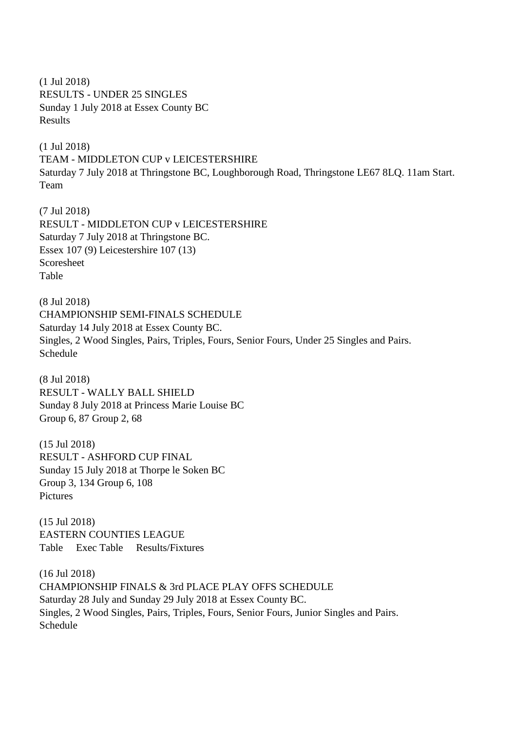(1 Jul 2018) RESULTS - UNDER 25 SINGLES Sunday 1 July 2018 at Essex County BC Results

(1 Jul 2018) TEAM - MIDDLETON CUP v LEICESTERSHIRE Saturday 7 July 2018 at Thringstone BC, Loughborough Road, Thringstone LE67 8LQ. 11am Start. Team

(7 Jul 2018) RESULT - MIDDLETON CUP v LEICESTERSHIRE Saturday 7 July 2018 at Thringstone BC. Essex 107 (9) Leicestershire 107 (13) Scoresheet Table

(8 Jul 2018) CHAMPIONSHIP SEMI-FINALS SCHEDULE Saturday 14 July 2018 at Essex County BC. Singles, 2 Wood Singles, Pairs, Triples, Fours, Senior Fours, Under 25 Singles and Pairs. Schedule

(8 Jul 2018) RESULT - WALLY BALL SHIELD Sunday 8 July 2018 at Princess Marie Louise BC Group 6, 87 Group 2, 68

(15 Jul 2018) RESULT - ASHFORD CUP FINAL Sunday 15 July 2018 at Thorpe le Soken BC Group 3, 134 Group 6, 108 **Pictures** 

(15 Jul 2018) EASTERN COUNTIES LEAGUE Table Exec Table Results/Fixtures

(16 Jul 2018) CHAMPIONSHIP FINALS & 3rd PLACE PLAY OFFS SCHEDULE Saturday 28 July and Sunday 29 July 2018 at Essex County BC. Singles, 2 Wood Singles, Pairs, Triples, Fours, Senior Fours, Junior Singles and Pairs. Schedule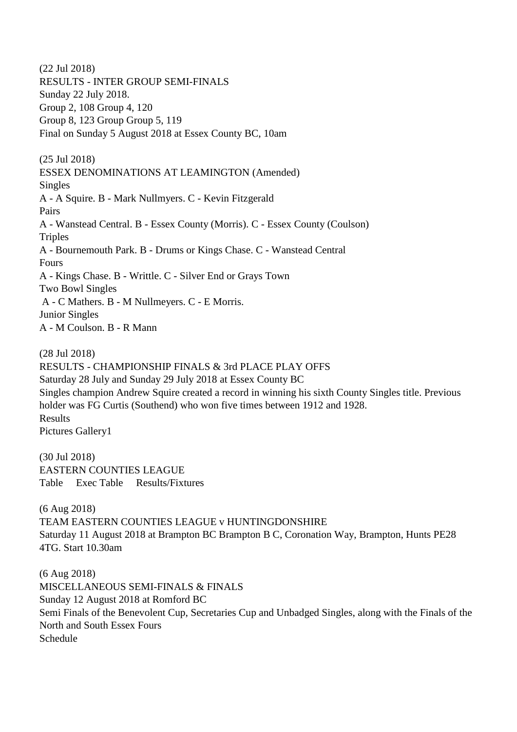(22 Jul 2018) RESULTS - INTER GROUP SEMI-FINALS Sunday 22 July 2018. Group 2, 108 Group 4, 120 Group 8, 123 Group Group 5, 119 Final on Sunday 5 August 2018 at Essex County BC, 10am (25 Jul 2018) ESSEX DENOMINATIONS AT LEAMINGTON (Amended) Singles A - A Squire. B - Mark Nullmyers. C - Kevin Fitzgerald Pairs A - Wanstead Central. B - Essex County (Morris). C - Essex County (Coulson) **Triples** A - Bournemouth Park. B - Drums or Kings Chase. C - Wanstead Central Fours A - Kings Chase. B - Writtle. C - Silver End or Grays Town Two Bowl Singles A - C Mathers. B - M Nullmeyers. C - E Morris. Junior Singles A - M Coulson. B - R Mann

(28 Jul 2018)

RESULTS - CHAMPIONSHIP FINALS & 3rd PLACE PLAY OFFS

Saturday 28 July and Sunday 29 July 2018 at Essex County BC

Singles champion Andrew Squire created a record in winning his sixth County Singles title. Previous holder was FG Curtis (Southend) who won five times between 1912 and 1928. Results Pictures Gallery1

(30 Jul 2018) EASTERN COUNTIES LEAGUE Table Exec Table Results/Fixtures

(6 Aug 2018) TEAM EASTERN COUNTIES LEAGUE v HUNTINGDONSHIRE Saturday 11 August 2018 at Brampton BC Brampton B C, Coronation Way, Brampton, Hunts PE28 4TG. Start 10.30am

(6 Aug 2018) MISCELLANEOUS SEMI-FINALS & FINALS Sunday 12 August 2018 at Romford BC Semi Finals of the Benevolent Cup, Secretaries Cup and Unbadged Singles, along with the Finals of the North and South Essex Fours Schedule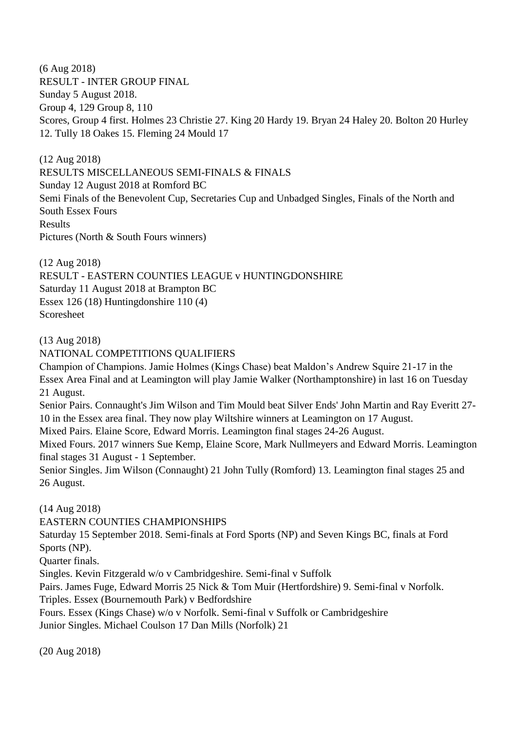(6 Aug 2018) RESULT - INTER GROUP FINAL Sunday 5 August 2018. Group 4, 129 Group 8, 110 Scores, Group 4 first. Holmes 23 Christie 27. King 20 Hardy 19. Bryan 24 Haley 20. Bolton 20 Hurley 12. Tully 18 Oakes 15. Fleming 24 Mould 17

(12 Aug 2018) RESULTS MISCELLANEOUS SEMI-FINALS & FINALS Sunday 12 August 2018 at Romford BC Semi Finals of the Benevolent Cup, Secretaries Cup and Unbadged Singles, Finals of the North and South Essex Fours Results Pictures (North & South Fours winners)

(12 Aug 2018) RESULT - EASTERN COUNTIES LEAGUE v HUNTINGDONSHIRE Saturday 11 August 2018 at Brampton BC Essex 126 (18) Huntingdonshire 110 (4) Scoresheet

(13 Aug 2018)

NATIONAL COMPETITIONS QUALIFIERS

Champion of Champions. Jamie Holmes (Kings Chase) beat Maldon's Andrew Squire 21-17 in the Essex Area Final and at Leamington will play Jamie Walker (Northamptonshire) in last 16 on Tuesday 21 August.

Senior Pairs. Connaught's Jim Wilson and Tim Mould beat Silver Ends' John Martin and Ray Everitt 27- 10 in the Essex area final. They now play Wiltshire winners at Leamington on 17 August.

Mixed Pairs. Elaine Score, Edward Morris. Leamington final stages 24-26 August.

Mixed Fours. 2017 winners Sue Kemp, Elaine Score, Mark Nullmeyers and Edward Morris. Leamington final stages 31 August - 1 September.

Senior Singles. Jim Wilson (Connaught) 21 John Tully (Romford) 13. Leamington final stages 25 and 26 August.

(14 Aug 2018)

EASTERN COUNTIES CHAMPIONSHIPS

Saturday 15 September 2018. Semi-finals at Ford Sports (NP) and Seven Kings BC, finals at Ford Sports (NP).

Quarter finals.

Singles. Kevin Fitzgerald w/o v Cambridgeshire. Semi-final v Suffolk

Pairs. James Fuge, Edward Morris 25 Nick & Tom Muir (Hertfordshire) 9. Semi-final v Norfolk.

Triples. Essex (Bournemouth Park) v Bedfordshire

Fours. Essex (Kings Chase) w/o v Norfolk. Semi-final v Suffolk or Cambridgeshire

Junior Singles. Michael Coulson 17 Dan Mills (Norfolk) 21

(20 Aug 2018)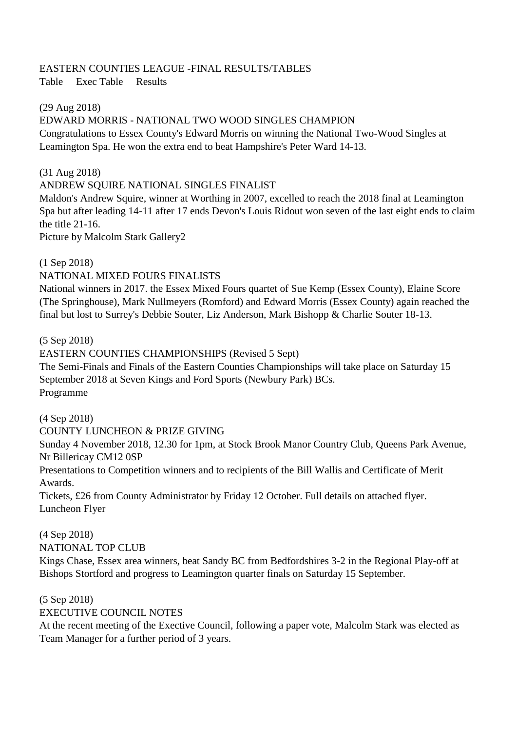## EASTERN COUNTIES LEAGUE -FINAL RESULTS/TABLES

Table Exec Table Results

### (29 Aug 2018)

#### EDWARD MORRIS - NATIONAL TWO WOOD SINGLES CHAMPION

Congratulations to Essex County's Edward Morris on winning the National Two-Wood Singles at Leamington Spa. He won the extra end to beat Hampshire's Peter Ward 14-13.

#### (31 Aug 2018)

### ANDREW SQUIRE NATIONAL SINGLES FINALIST

Maldon's Andrew Squire, winner at Worthing in 2007, excelled to reach the 2018 final at Leamington Spa but after leading 14-11 after 17 ends Devon's Louis Ridout won seven of the last eight ends to claim the title 21-16.

Picture by Malcolm Stark Gallery2

(1 Sep 2018)

NATIONAL MIXED FOURS FINALISTS

National winners in 2017. the Essex Mixed Fours quartet of Sue Kemp (Essex County), Elaine Score (The Springhouse), Mark Nullmeyers (Romford) and Edward Morris (Essex County) again reached the final but lost to Surrey's Debbie Souter, Liz Anderson, Mark Bishopp & Charlie Souter 18-13.

(5 Sep 2018)

EASTERN COUNTIES CHAMPIONSHIPS (Revised 5 Sept)

The Semi-Finals and Finals of the Eastern Counties Championships will take place on Saturday 15 September 2018 at Seven Kings and Ford Sports (Newbury Park) BCs. Programme

(4 Sep 2018)

COUNTY LUNCHEON & PRIZE GIVING

Sunday 4 November 2018, 12.30 for 1pm, at Stock Brook Manor Country Club, Queens Park Avenue, Nr Billericay CM12 0SP

Presentations to Competition winners and to recipients of the Bill Wallis and Certificate of Merit Awards.

Tickets, £26 from County Administrator by Friday 12 October. Full details on attached flyer. Luncheon Flyer

(4 Sep 2018) NATIONAL TOP CLUB Kings Chase, Essex area winners, beat Sandy BC from Bedfordshires 3-2 in the Regional Play-off at Bishops Stortford and progress to Leamington quarter finals on Saturday 15 September.

(5 Sep 2018) EXECUTIVE COUNCIL NOTES

At the recent meeting of the Exective Council, following a paper vote, Malcolm Stark was elected as Team Manager for a further period of 3 years.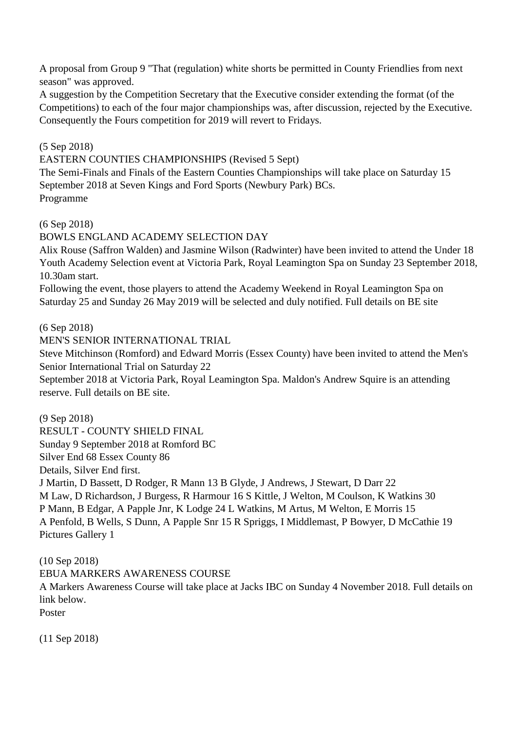A proposal from Group 9 "That (regulation) white shorts be permitted in County Friendlies from next season" was approved.

A suggestion by the Competition Secretary that the Executive consider extending the format (of the Competitions) to each of the four major championships was, after discussion, rejected by the Executive. Consequently the Fours competition for 2019 will revert to Fridays.

### (5 Sep 2018)

EASTERN COUNTIES CHAMPIONSHIPS (Revised 5 Sept)

The Semi-Finals and Finals of the Eastern Counties Championships will take place on Saturday 15 September 2018 at Seven Kings and Ford Sports (Newbury Park) BCs. Programme

(6 Sep 2018)

BOWLS ENGLAND ACADEMY SELECTION DAY

Alix Rouse (Saffron Walden) and Jasmine Wilson (Radwinter) have been invited to attend the Under 18 Youth Academy Selection event at Victoria Park, Royal Leamington Spa on Sunday 23 September 2018, 10.30am start.

Following the event, those players to attend the Academy Weekend in Royal Leamington Spa on Saturday 25 and Sunday 26 May 2019 will be selected and duly notified. Full details on BE site

(6 Sep 2018)

MEN'S SENIOR INTERNATIONAL TRIAL

Steve Mitchinson (Romford) and Edward Morris (Essex County) have been invited to attend the Men's Senior International Trial on Saturday 22

September 2018 at Victoria Park, Royal Leamington Spa. Maldon's Andrew Squire is an attending reserve. Full details on BE site.

(9 Sep 2018) RESULT - COUNTY SHIELD FINAL Sunday 9 September 2018 at Romford BC Silver End 68 Essex County 86 Details, Silver End first. J Martin, D Bassett, D Rodger, R Mann 13 B Glyde, J Andrews, J Stewart, D Darr 22 M Law, D Richardson, J Burgess, R Harmour 16 S Kittle, J Welton, M Coulson, K Watkins 30 P Mann, B Edgar, A Papple Jnr, K Lodge 24 L Watkins, M Artus, M Welton, E Morris 15 A Penfold, B Wells, S Dunn, A Papple Snr 15 R Spriggs, I Middlemast, P Bowyer, D McCathie 19 Pictures Gallery 1

(10 Sep 2018)

EBUA MARKERS AWARENESS COURSE

A Markers Awareness Course will take place at Jacks IBC on Sunday 4 November 2018. Full details on link below.

Poster

(11 Sep 2018)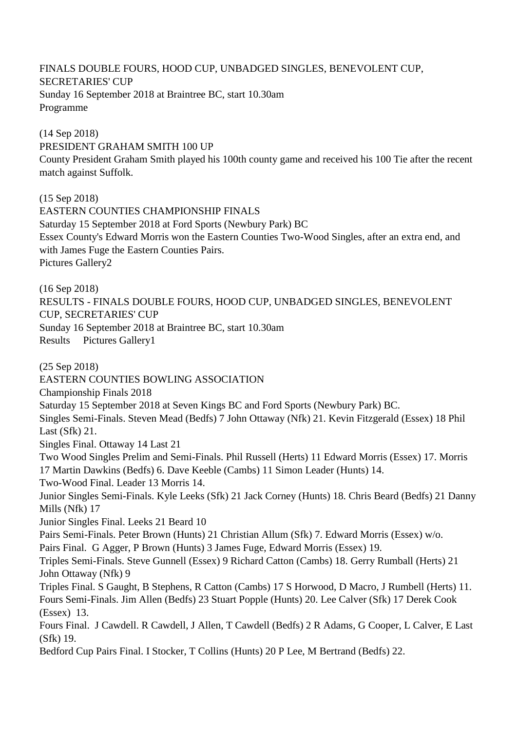FINALS DOUBLE FOURS, HOOD CUP, UNBADGED SINGLES, BENEVOLENT CUP, SECRETARIES' CUP Sunday 16 September 2018 at Braintree BC, start 10.30am Programme

(14 Sep 2018) PRESIDENT GRAHAM SMITH 100 UP County President Graham Smith played his 100th county game and received his 100 Tie after the recent match against Suffolk.

(15 Sep 2018) EASTERN COUNTIES CHAMPIONSHIP FINALS Saturday 15 September 2018 at Ford Sports (Newbury Park) BC Essex County's Edward Morris won the Eastern Counties Two-Wood Singles, after an extra end, and with James Fuge the Eastern Counties Pairs. Pictures Gallery2

(16 Sep 2018)

RESULTS - FINALS DOUBLE FOURS, HOOD CUP, UNBADGED SINGLES, BENEVOLENT CUP, SECRETARIES' CUP Sunday 16 September 2018 at Braintree BC, start 10.30am

Results Pictures Gallery1

(25 Sep 2018) EASTERN COUNTIES BOWLING ASSOCIATION Championship Finals 2018 Saturday 15 September 2018 at Seven Kings BC and Ford Sports (Newbury Park) BC. Singles Semi-Finals. Steven Mead (Bedfs) 7 John Ottaway (Nfk) 21. Kevin Fitzgerald (Essex) 18 Phil Last (Sfk) 21. Singles Final. Ottaway 14 Last 21 Two Wood Singles Prelim and Semi-Finals. Phil Russell (Herts) 11 Edward Morris (Essex) 17. Morris 17 Martin Dawkins (Bedfs) 6. Dave Keeble (Cambs) 11 Simon Leader (Hunts) 14. Two-Wood Final. Leader 13 Morris 14. Junior Singles Semi-Finals. Kyle Leeks (Sfk) 21 Jack Corney (Hunts) 18. Chris Beard (Bedfs) 21 Danny Mills (Nfk) 17 Junior Singles Final. Leeks 21 Beard 10 Pairs Semi-Finals. Peter Brown (Hunts) 21 Christian Allum (Sfk) 7. Edward Morris (Essex) w/o. Pairs Final. G Agger, P Brown (Hunts) 3 James Fuge, Edward Morris (Essex) 19. Triples Semi-Finals. Steve Gunnell (Essex) 9 Richard Catton (Cambs) 18. Gerry Rumball (Herts) 21 John Ottaway (Nfk) 9 Triples Final. S Gaught, B Stephens, R Catton (Cambs) 17 S Horwood, D Macro, J Rumbell (Herts) 11. Fours Semi-Finals. Jim Allen (Bedfs) 23 Stuart Popple (Hunts) 20. Lee Calver (Sfk) 17 Derek Cook (Essex) 13. Fours Final. J Cawdell. R Cawdell, J Allen, T Cawdell (Bedfs) 2 R Adams, G Cooper, L Calver, E Last (Sfk) 19. Bedford Cup Pairs Final. I Stocker, T Collins (Hunts) 20 P Lee, M Bertrand (Bedfs) 22.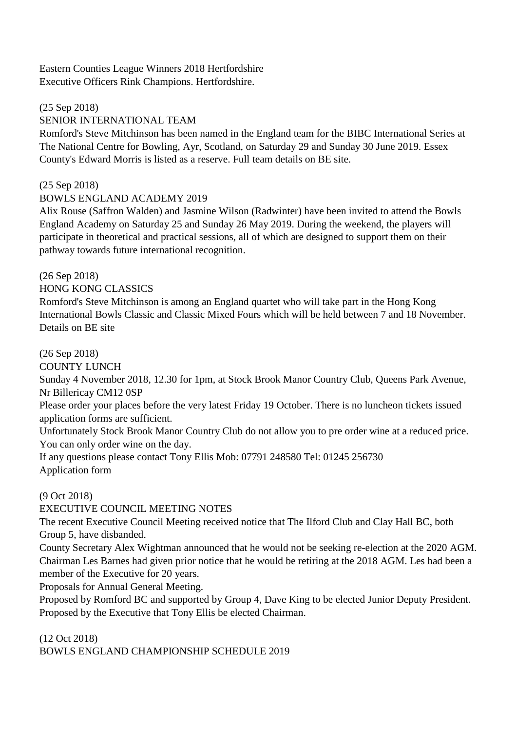Eastern Counties League Winners 2018 Hertfordshire Executive Officers Rink Champions. Hertfordshire.

#### (25 Sep 2018)

### SENIOR INTERNATIONAL TEAM

Romford's Steve Mitchinson has been named in the England team for the BIBC International Series at The National Centre for Bowling, Ayr, Scotland, on Saturday 29 and Sunday 30 June 2019. Essex County's Edward Morris is listed as a reserve. Full team details on BE site.

#### (25 Sep 2018)

#### BOWLS ENGLAND ACADEMY 2019

Alix Rouse (Saffron Walden) and Jasmine Wilson (Radwinter) have been invited to attend the Bowls England Academy on Saturday 25 and Sunday 26 May 2019. During the weekend, the players will participate in theoretical and practical sessions, all of which are designed to support them on their pathway towards future international recognition.

### (26 Sep 2018)

HONG KONG CLASSICS

Romford's Steve Mitchinson is among an England quartet who will take part in the Hong Kong International Bowls Classic and Classic Mixed Fours which will be held between 7 and 18 November. Details on BE site

### (26 Sep 2018)

COUNTY LUNCH

Sunday 4 November 2018, 12.30 for 1pm, at Stock Brook Manor Country Club, Queens Park Avenue, Nr Billericay CM12 0SP

Please order your places before the very latest Friday 19 October. There is no luncheon tickets issued application forms are sufficient.

Unfortunately Stock Brook Manor Country Club do not allow you to pre order wine at a reduced price. You can only order wine on the day.

If any questions please contact Tony Ellis Mob: 07791 248580 Tel: 01245 256730 Application form

#### (9 Oct 2018)

EXECUTIVE COUNCIL MEETING NOTES

The recent Executive Council Meeting received notice that The Ilford Club and Clay Hall BC, both Group 5, have disbanded.

County Secretary Alex Wightman announced that he would not be seeking re-election at the 2020 AGM. Chairman Les Barnes had given prior notice that he would be retiring at the 2018 AGM. Les had been a member of the Executive for 20 years.

Proposals for Annual General Meeting.

Proposed by Romford BC and supported by Group 4, Dave King to be elected Junior Deputy President. Proposed by the Executive that Tony Ellis be elected Chairman.

(12 Oct 2018) BOWLS ENGLAND CHAMPIONSHIP SCHEDULE 2019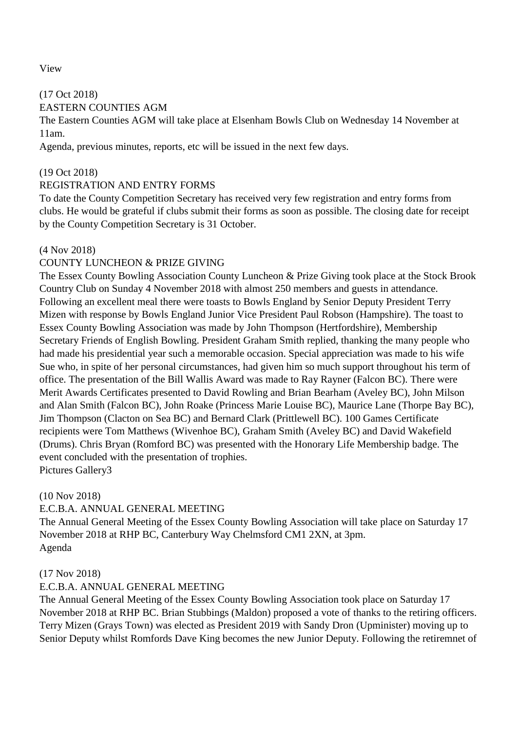View

(17 Oct 2018) EASTERN COUNTIES AGM

The Eastern Counties AGM will take place at Elsenham Bowls Club on Wednesday 14 November at 11am.

Agenda, previous minutes, reports, etc will be issued in the next few days.

### (19 Oct 2018)

### REGISTRATION AND ENTRY FORMS

To date the County Competition Secretary has received very few registration and entry forms from clubs. He would be grateful if clubs submit their forms as soon as possible. The closing date for receipt by the County Competition Secretary is 31 October.

#### (4 Nov 2018)

## COUNTY LUNCHEON & PRIZE GIVING

The Essex County Bowling Association County Luncheon & Prize Giving took place at the Stock Brook Country Club on Sunday 4 November 2018 with almost 250 members and guests in attendance. Following an excellent meal there were toasts to Bowls England by Senior Deputy President Terry Mizen with response by Bowls England Junior Vice President Paul Robson (Hampshire). The toast to Essex County Bowling Association was made by John Thompson (Hertfordshire), Membership Secretary Friends of English Bowling. President Graham Smith replied, thanking the many people who had made his presidential year such a memorable occasion. Special appreciation was made to his wife Sue who, in spite of her personal circumstances, had given him so much support throughout his term of office. The presentation of the Bill Wallis Award was made to Ray Rayner (Falcon BC). There were Merit Awards Certificates presented to David Rowling and Brian Bearham (Aveley BC), John Milson and Alan Smith (Falcon BC), John Roake (Princess Marie Louise BC), Maurice Lane (Thorpe Bay BC), Jim Thompson (Clacton on Sea BC) and Bernard Clark (Prittlewell BC). 100 Games Certificate recipients were Tom Matthews (Wivenhoe BC), Graham Smith (Aveley BC) and David Wakefield (Drums). Chris Bryan (Romford BC) was presented with the Honorary Life Membership badge. The event concluded with the presentation of trophies. Pictures Gallery3

(10 Nov 2018)

## E.C.B.A. ANNUAL GENERAL MEETING

The Annual General Meeting of the Essex County Bowling Association will take place on Saturday 17 November 2018 at RHP BC, Canterbury Way Chelmsford CM1 2XN, at 3pm. Agenda

## (17 Nov 2018)

## E.C.B.A. ANNUAL GENERAL MEETING

The Annual General Meeting of the Essex County Bowling Association took place on Saturday 17 November 2018 at RHP BC. Brian Stubbings (Maldon) proposed a vote of thanks to the retiring officers. Terry Mizen (Grays Town) was elected as President 2019 with Sandy Dron (Upminister) moving up to Senior Deputy whilst Romfords Dave King becomes the new Junior Deputy. Following the retiremnet of